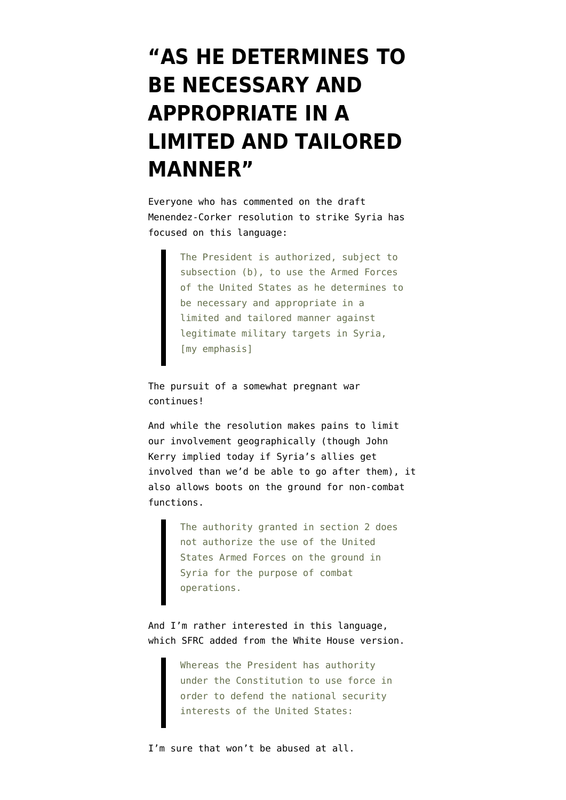## **["AS HE DETERMINES TO](https://www.emptywheel.net/2013/09/03/as-he-determines-to-be-necessary-and-appropriate-in-a-limited-and-tailored-manner/) [BE NECESSARY AND](https://www.emptywheel.net/2013/09/03/as-he-determines-to-be-necessary-and-appropriate-in-a-limited-and-tailored-manner/) [APPROPRIATE IN A](https://www.emptywheel.net/2013/09/03/as-he-determines-to-be-necessary-and-appropriate-in-a-limited-and-tailored-manner/) [LIMITED AND TAILORED](https://www.emptywheel.net/2013/09/03/as-he-determines-to-be-necessary-and-appropriate-in-a-limited-and-tailored-manner/) [MANNER"](https://www.emptywheel.net/2013/09/03/as-he-determines-to-be-necessary-and-appropriate-in-a-limited-and-tailored-manner/)**

Everyone who has commented on the draft [Menendez-Corker resolution to strike Syria](http://www.foreign.senate.gov/imo/media/doc/Syria_Joint_Resolution1.pdf) has focused on this language:

> The President is authorized, subject to subsection (b), to use the Armed Forces of the United States as he determines to be necessary and appropriate in a limited and tailored manner against legitimate military targets in Syria, [my emphasis]

The pursuit of a somewhat pregnant war continues!

And while the resolution makes pains to limit our involvement geographically (though John Kerry implied today if Syria's allies get involved than we'd be able to go after them), it also allows boots on the ground for non-combat functions.

> The authority granted in section 2 does not authorize the use of the United States Armed Forces on the ground in Syria for the purpose of combat operations.

And I'm rather interested in this language, which SFRC added from the [White House version](http://apps.washingtonpost.com/g/documents/politics/president-obamas-draft-legislation-regarding-the-syrian-conflict/555/).

> Whereas the President has authority under the Constitution to use force in order to defend the national security interests of the United States:

I'm sure that won't be abused at all.